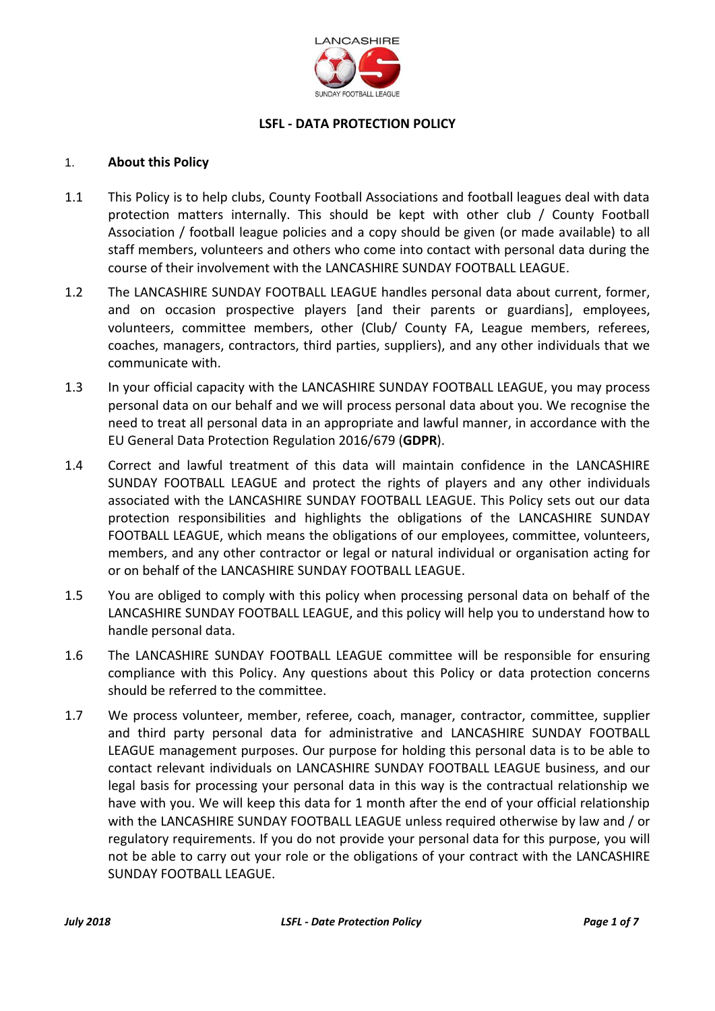

# **LSFL - DATA PROTECTION POLICY**

### 1. **About this Policy**

- 1.1 This Policy is to help clubs, County Football Associations and football leagues deal with data protection matters internally. This should be kept with other club / County Football Association / football league policies and a copy should be given (or made available) to all staff members, volunteers and others who come into contact with personal data during the course of their involvement with the LANCASHIRE SUNDAY FOOTBALL LEAGUE.
- 1.2 The LANCASHIRE SUNDAY FOOTBALL LEAGUE handles personal data about current, former, and on occasion prospective players [and their parents or guardians], employees, volunteers, committee members, other (Club/ County FA, League members, referees, coaches, managers, contractors, third parties, suppliers), and any other individuals that we communicate with.
- 1.3 In your official capacity with the LANCASHIRE SUNDAY FOOTBALL LEAGUE, you may process personal data on our behalf and we will process personal data about you. We recognise the need to treat all personal data in an appropriate and lawful manner, in accordance with the EU General Data Protection Regulation 2016/679 (**GDPR**).
- 1.4 Correct and lawful treatment of this data will maintain confidence in the LANCASHIRE SUNDAY FOOTBALL LEAGUE and protect the rights of players and any other individuals associated with the LANCASHIRE SUNDAY FOOTBALL LEAGUE. This Policy sets out our data protection responsibilities and highlights the obligations of the LANCASHIRE SUNDAY FOOTBALL LEAGUE, which means the obligations of our employees, committee, volunteers, members, and any other contractor or legal or natural individual or organisation acting for or on behalf of the LANCASHIRE SUNDAY FOOTBALL LEAGUE.
- 1.5 You are obliged to comply with this policy when processing personal data on behalf of the LANCASHIRE SUNDAY FOOTBALL LEAGUE, and this policy will help you to understand how to handle personal data.
- 1.6 The LANCASHIRE SUNDAY FOOTBALL LEAGUE committee will be responsible for ensuring compliance with this Policy. Any questions about this Policy or data protection concerns should be referred to the committee.
- 1.7 We process volunteer, member, referee, coach, manager, contractor, committee, supplier and third party personal data for administrative and LANCASHIRE SUNDAY FOOTBALL LEAGUE management purposes. Our purpose for holding this personal data is to be able to contact relevant individuals on LANCASHIRE SUNDAY FOOTBALL LEAGUE business, and our legal basis for processing your personal data in this way is the contractual relationship we have with you. We will keep this data for 1 month after the end of your official relationship with the LANCASHIRE SUNDAY FOOTBALL LEAGUE unless required otherwise by law and / or regulatory requirements. If you do not provide your personal data for this purpose, you will not be able to carry out your role or the obligations of your contract with the LANCASHIRE SUNDAY FOOTBALL LEAGUE.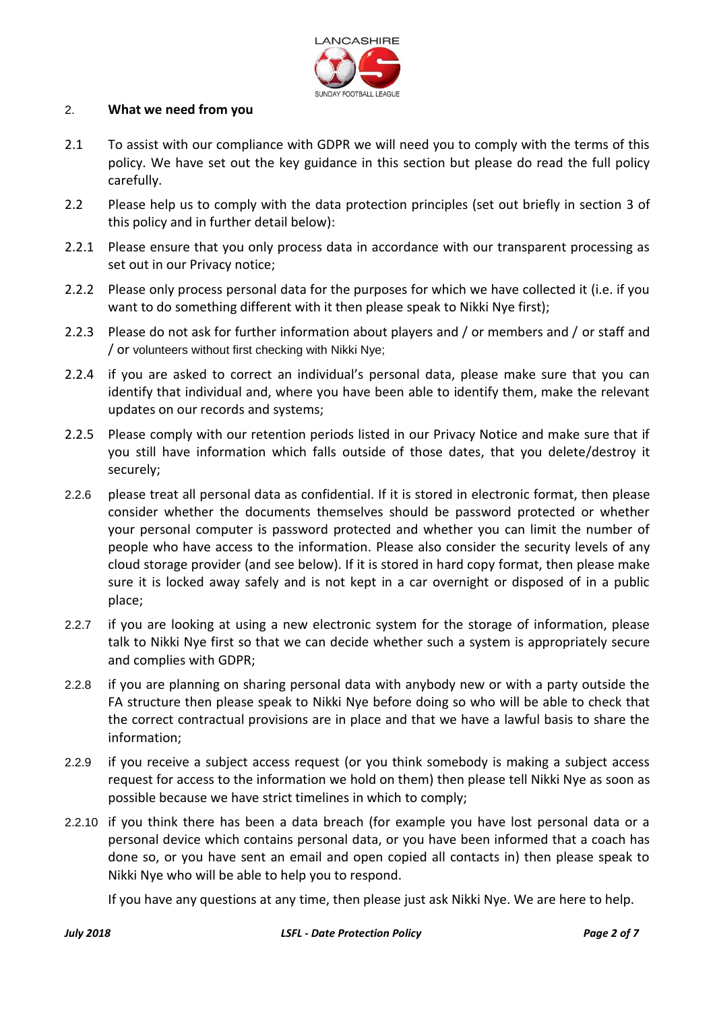

#### 2. **What we need from you**

- 2.1 To assist with our compliance with GDPR we will need you to comply with the terms of this policy. We have set out the key guidance in this section but please do read the full policy carefully.
- 2.2 Please help us to comply with the data protection principles (set out briefly in section [3](#page-2-0) of this policy and in further detail below):
- 2.2.1 Please ensure that you only process data in accordance with our transparent processing as set out in our Privacy notice;
- 2.2.2 Please only process personal data for the purposes for which we have collected it (i.e. if you want to do something different with it then please speak to Nikki Nye first);
- 2.2.3 Please do not ask for further information about players and / or members and / or staff and / or volunteers without first checking with Nikki Nye;
- 2.2.4 if you are asked to correct an individual's personal data, please make sure that you can identify that individual and, where you have been able to identify them, make the relevant updates on our records and systems;
- 2.2.5 Please comply with our retention periods listed in our Privacy Notice and make sure that if you still have information which falls outside of those dates, that you delete/destroy it securely;
- 2.2.6 please treat all personal data as confidential. If it is stored in electronic format, then please consider whether the documents themselves should be password protected or whether your personal computer is password protected and whether you can limit the number of people who have access to the information. Please also consider the security levels of any cloud storage provider (and see below). If it is stored in hard copy format, then please make sure it is locked away safely and is not kept in a car overnight or disposed of in a public place;
- 2.2.7 if you are looking at using a new electronic system for the storage of information, please talk to Nikki Nye first so that we can decide whether such a system is appropriately secure and complies with GDPR;
- 2.2.8 if you are planning on sharing personal data with anybody new or with a party outside the FA structure then please speak to Nikki Nye before doing so who will be able to check that the correct contractual provisions are in place and that we have a lawful basis to share the information;
- 2.2.9 if you receive a subject access request (or you think somebody is making a subject access request for access to the information we hold on them) then please tell Nikki Nye as soon as possible because we have strict timelines in which to comply;
- 2.2.10 if you think there has been a data breach (for example you have lost personal data or a personal device which contains personal data, or you have been informed that a coach has done so, or you have sent an email and open copied all contacts in) then please speak to Nikki Nye who will be able to help you to respond.

If you have any questions at any time, then please just ask Nikki Nye. We are here to help.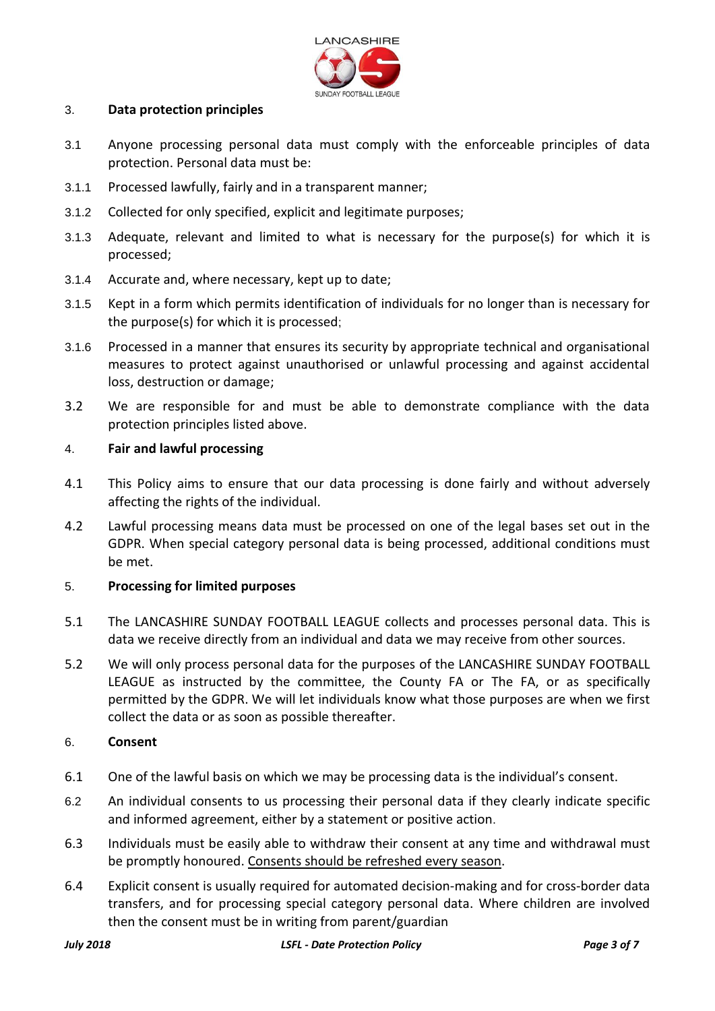

#### <span id="page-2-0"></span>3. **Data protection principles**

- 3.1 Anyone processing personal data must comply with the enforceable principles of data protection. Personal data must be:
- 3.1.1 Processed lawfully, fairly and in a transparent manner;
- 3.1.2 Collected for only specified, explicit and legitimate purposes;
- 3.1.3 Adequate, relevant and limited to what is necessary for the purpose(s) for which it is processed;
- 3.1.4 Accurate and, where necessary, kept up to date;
- 3.1.5 Kept in a form which permits identification of individuals for no longer than is necessary for the purpose(s) for which it is processed;
- 3.1.6 Processed in a manner that ensures its security by appropriate technical and organisational measures to protect against unauthorised or unlawful processing and against accidental loss, destruction or damage;
- 3.2 We are responsible for and must be able to demonstrate compliance with the data protection principles listed above.

#### 4. **Fair and lawful processing**

- 4.1 This Policy aims to ensure that our data processing is done fairly and without adversely affecting the rights of the individual.
- 4.2 Lawful processing means data must be processed on one of the legal bases set out in the GDPR. When special category personal data is being processed, additional conditions must be met.

## 5. **Processing for limited purposes**

- 5.1 The LANCASHIRE SUNDAY FOOTBALL LEAGUE collects and processes personal data. This is data we receive directly from an individual and data we may receive from other sources.
- 5.2 We will only process personal data for the purposes of the LANCASHIRE SUNDAY FOOTBALL LEAGUE as instructed by the committee, the County FA or The FA, or as specifically permitted by the GDPR. We will let individuals know what those purposes are when we first collect the data or as soon as possible thereafter.

#### 6. **Consent**

- 6.1 One of the lawful basis on which we may be processing data is the individual's consent.
- 6.2 An individual consents to us processing their personal data if they clearly indicate specific and informed agreement, either by a statement or positive action.
- 6.3 Individuals must be easily able to withdraw their consent at any time and withdrawal must be promptly honoured. Consents should be refreshed every season.
- 6.4 Explicit consent is usually required for automated decision-making and for cross-border data transfers, and for processing special category personal data. Where children are involved then the consent must be in writing from parent/guardian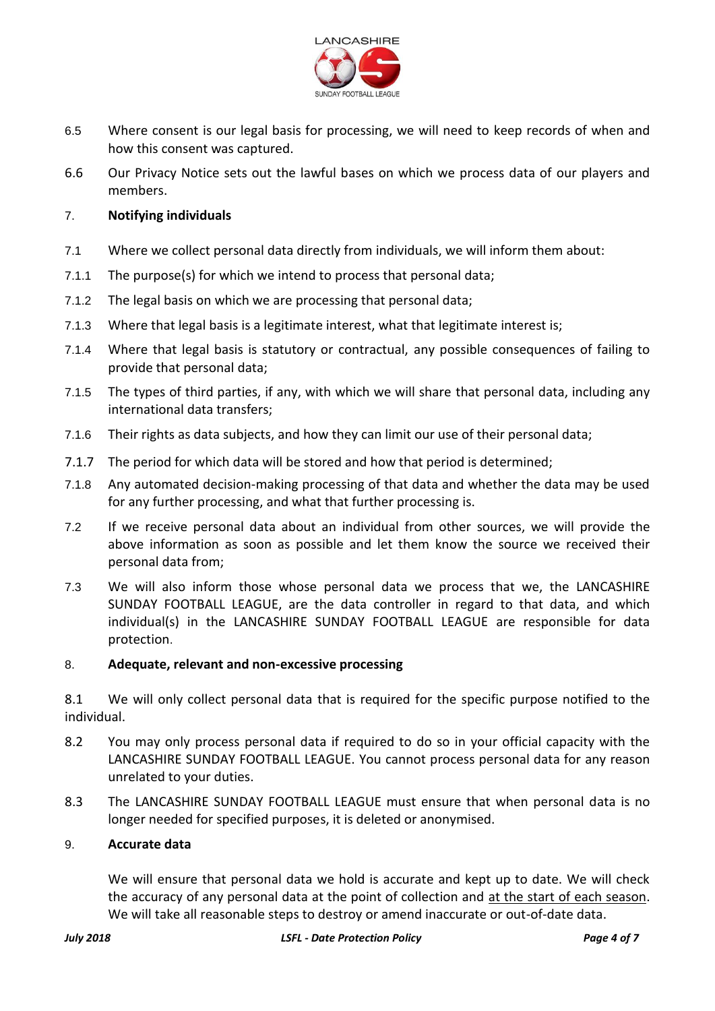

- 6.5 Where consent is our legal basis for processing, we will need to keep records of when and how this consent was captured.
- 6.6 Our Privacy Notice sets out the lawful bases on which we process data of our players and members.

## 7. **Notifying individuals**

- 7.1 Where we collect personal data directly from individuals, we will inform them about:
- 7.1.1 The purpose(s) for which we intend to process that personal data;
- 7.1.2 The legal basis on which we are processing that personal data;
- 7.1.3 Where that legal basis is a legitimate interest, what that legitimate interest is;
- 7.1.4 Where that legal basis is statutory or contractual, any possible consequences of failing to provide that personal data;
- 7.1.5 The types of third parties, if any, with which we will share that personal data, including any international data transfers;
- 7.1.6 Their rights as data subjects, and how they can limit our use of their personal data;
- 7.1.7 The period for which data will be stored and how that period is determined;
- 7.1.8 Any automated decision-making processing of that data and whether the data may be used for any further processing, and what that further processing is.
- 7.2 If we receive personal data about an individual from other sources, we will provide the above information as soon as possible and let them know the source we received their personal data from;
- 7.3 We will also inform those whose personal data we process that we, the LANCASHIRE SUNDAY FOOTBALL LEAGUE, are the data controller in regard to that data, and which individual(s) in the LANCASHIRE SUNDAY FOOTBALL LEAGUE are responsible for data protection.

## 8. **Adequate, relevant and non-excessive processing**

8.1 We will only collect personal data that is required for the specific purpose notified to the individual.

- 8.2 You may only process personal data if required to do so in your official capacity with the LANCASHIRE SUNDAY FOOTBALL LEAGUE. You cannot process personal data for any reason unrelated to your duties.
- 8.3 The LANCASHIRE SUNDAY FOOTBALL LEAGUE must ensure that when personal data is no longer needed for specified purposes, it is deleted or anonymised.

#### 9. **Accurate data**

We will ensure that personal data we hold is accurate and kept up to date. We will check the accuracy of any personal data at the point of collection and at the start of each season. We will take all reasonable steps to destroy or amend inaccurate or out-of-date data.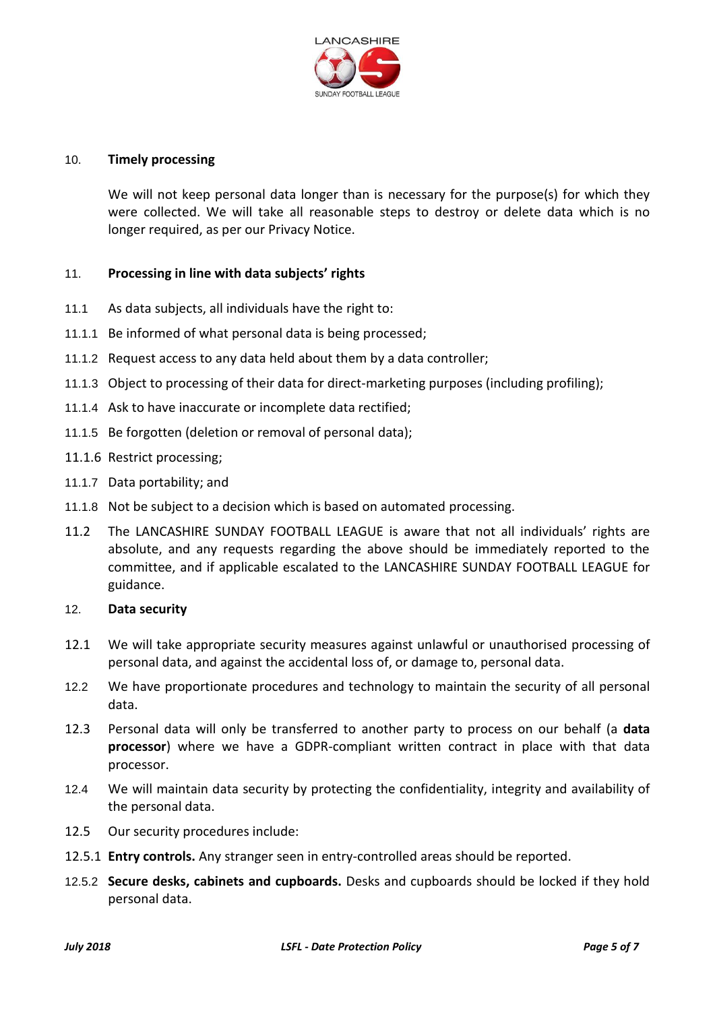

#### 10. **Timely processing**

We will not keep personal data longer than is necessary for the purpose(s) for which they were collected. We will take all reasonable steps to destroy or delete data which is no longer required, as per our Privacy Notice.

## 11. **Processing in line with data subjects' rights**

- 11.1 As data subjects, all individuals have the right to:
- 11.1.1 Be informed of what personal data is being processed;
- 11.1.2 Request access to any data held about them by a data controller;
- 11.1.3 Object to processing of their data for direct-marketing purposes (including profiling);
- 11.1.4 Ask to have inaccurate or incomplete data rectified;
- 11.1.5 Be forgotten (deletion or removal of personal data);
- 11.1.6 Restrict processing;
- 11.1.7 Data portability; and
- 11.1.8 Not be subject to a decision which is based on automated processing.
- 11.2 The LANCASHIRE SUNDAY FOOTBALL LEAGUE is aware that not all individuals' rights are absolute, and any requests regarding the above should be immediately reported to the committee, and if applicable escalated to the LANCASHIRE SUNDAY FOOTBALL LEAGUE for guidance.

#### 12. **Data security**

- 12.1 We will take appropriate security measures against unlawful or unauthorised processing of personal data, and against the accidental loss of, or damage to, personal data.
- 12.2 We have proportionate procedures and technology to maintain the security of all personal data.
- 12.3 Personal data will only be transferred to another party to process on our behalf (a **data processor**) where we have a GDPR-compliant written contract in place with that data processor.
- 12.4 We will maintain data security by protecting the confidentiality, integrity and availability of the personal data.
- 12.5 Our security procedures include:
- 12.5.1 **Entry controls.** Any stranger seen in entry-controlled areas should be reported.
- 12.5.2 **Secure desks, cabinets and cupboards.** Desks and cupboards should be locked if they hold personal data.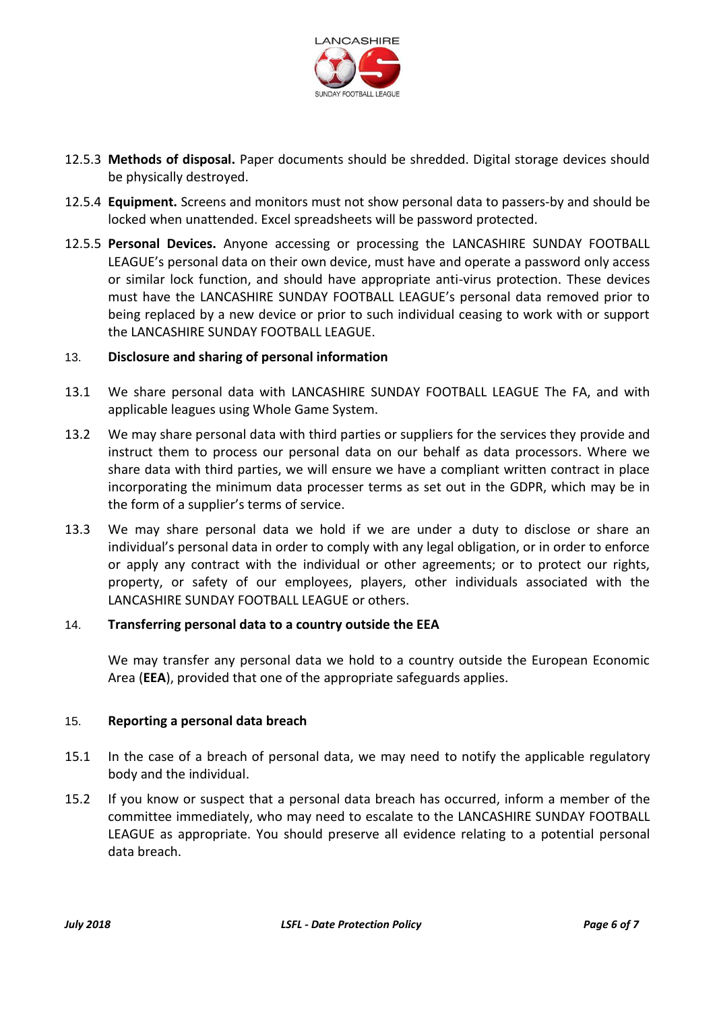

- 12.5.3 **Methods of disposal.** Paper documents should be shredded. Digital storage devices should be physically destroyed.
- 12.5.4 **Equipment.** Screens and monitors must not show personal data to passers-by and should be locked when unattended. Excel spreadsheets will be password protected.
- 12.5.5 **Personal Devices.** Anyone accessing or processing the LANCASHIRE SUNDAY FOOTBALL LEAGUE's personal data on their own device, must have and operate a password only access or similar lock function, and should have appropriate anti-virus protection. These devices must have the LANCASHIRE SUNDAY FOOTBALL LEAGUE's personal data removed prior to being replaced by a new device or prior to such individual ceasing to work with or support the LANCASHIRE SUNDAY FOOTBALL LEAGUE.

## 13. **Disclosure and sharing of personal information**

- 13.1 We share personal data with LANCASHIRE SUNDAY FOOTBALL LEAGUE The FA, and with applicable leagues using Whole Game System.
- 13.2 We may share personal data with third parties or suppliers for the services they provide and instruct them to process our personal data on our behalf as data processors. Where we share data with third parties, we will ensure we have a compliant written contract in place incorporating the minimum data processer terms as set out in the GDPR, which may be in the form of a supplier's terms of service.
- 13.3 We may share personal data we hold if we are under a duty to disclose or share an individual's personal data in order to comply with any legal obligation, or in order to enforce or apply any contract with the individual or other agreements; or to protect our rights, property, or safety of our employees, players, other individuals associated with the LANCASHIRE SUNDAY FOOTBALL LEAGUE or others.

## 14. **Transferring personal data to a country outside the EEA**

We may transfer any personal data we hold to a country outside the European Economic Area (**EEA**), provided that one of the appropriate safeguards applies.

## 15. **Reporting a personal data breach**

- 15.1 In the case of a breach of personal data, we may need to notify the applicable regulatory body and the individual.
- 15.2 If you know or suspect that a personal data breach has occurred, inform a member of the committee immediately, who may need to escalate to the LANCASHIRE SUNDAY FOOTBALL LEAGUE as appropriate. You should preserve all evidence relating to a potential personal data breach.